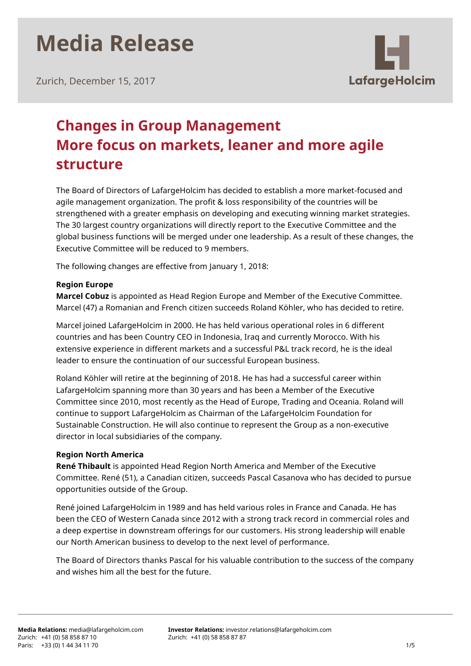Zurich, December 15, 2017



# **Changes in Group Management More focus on markets, leaner and more agile structure**

The Board of Directors of LafargeHolcim has decided to establish a more market-focused and agile management organization. The profit & loss responsibility of the countries will be strengthened with a greater emphasis on developing and executing winning market strategies. The 30 largest country organizations will directly report to the Executive Committee and the global business functions will be merged under one leadership. As a result of these changes, the Executive Committee will be reduced to 9 members.

The following changes are effective from January 1, 2018:

# **Region Europe**

**Marcel Cobuz** is appointed as Head Region Europe and Member of the Executive Committee. Marcel (47) a Romanian and French citizen succeeds Roland Köhler, who has decided to retire.

Marcel joined LafargeHolcim in 2000. He has held various operational roles in 6 different countries and has been Country CEO in Indonesia, Iraq and currently Morocco. With his extensive experience in different markets and a successful P&L track record, he is the ideal leader to ensure the continuation of our successful European business.

Roland Köhler will retire at the beginning of 2018. He has had a successful career within LafargeHolcim spanning more than 30 years and has been a Member of the Executive Committee since 2010, most recently as the Head of Europe, Trading and Oceania. Roland will continue to support LafargeHolcim as Chairman of the LafargeHolcim Foundation for Sustainable Construction. He will also continue to represent the Group as a non-executive director in local subsidiaries of the company.

## **Region North America**

**René Thibault** is appointed Head Region North America and Member of the Executive Committee. René (51), a Canadian citizen, succeeds Pascal Casanova who has decided to pursue opportunities outside of the Group.

René joined LafargeHolcim in 1989 and has held various roles in France and Canada. He has been the CEO of Western Canada since 2012 with a strong track record in commercial roles and a deep expertise in downstream offerings for our customers. His strong leadership will enable our North American business to develop to the next level of performance.

The Board of Directors thanks Pascal for his valuable contribution to the success of the company and wishes him all the best for the future.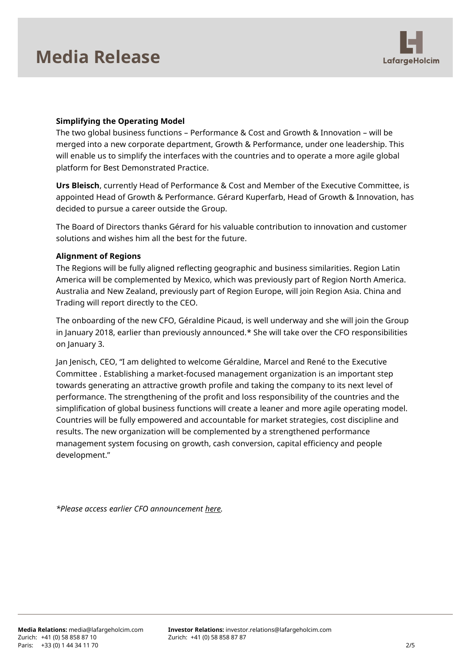

## **Simplifying the Operating Model**

The two global business functions – Performance & Cost and Growth & Innovation – will be merged into a new corporate department, Growth & Performance, under one leadership. This will enable us to simplify the interfaces with the countries and to operate a more agile global platform for Best Demonstrated Practice.

**Urs Bleisch**, currently Head of Performance & Cost and Member of the Executive Committee, is appointed Head of Growth & Performance. Gérard Kuperfarb, Head of Growth & Innovation, has decided to pursue a career outside the Group.

The Board of Directors thanks Gérard for his valuable contribution to innovation and customer solutions and wishes him all the best for the future.

### **Alignment of Regions**

The Regions will be fully aligned reflecting geographic and business similarities. Region Latin America will be complemented by Mexico, which was previously part of Region North America. Australia and New Zealand, previously part of Region Europe, will join Region Asia. China and Trading will report directly to the CEO.

The onboarding of the new CFO, Géraldine Picaud, is well underway and she will join the Group in January 2018, earlier than previously announced.\* She will take over the CFO responsibilities on January 3.

Jan Jenisch, CEO, "I am delighted to welcome Géraldine, Marcel and René to the Executive Committee . Establishing a market-focused management organization is an important step towards generating an attractive growth profile and taking the company to its next level of performance. The strengthening of the profit and loss responsibility of the countries and the simplification of global business functions will create a leaner and more agile operating model. Countries will be fully empowered and accountable for market strategies, cost discipline and results. The new organization will be complemented by a strengthened performance management system focusing on growth, cash conversion, capital efficiency and people development."

*\*Please access earlier CFO announcement [here.](http://www.lafargeholcim.com/geraldine-picaud-new-lafargeholcim-cfo)*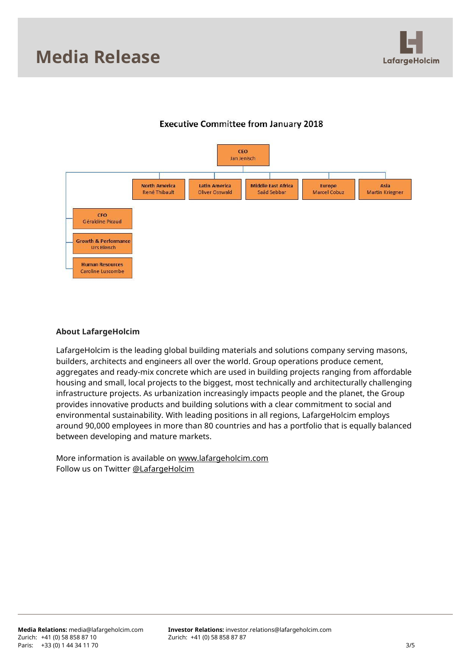



# **Executive Committee from January 2018**

### **About LafargeHolcim**

LafargeHolcim is the leading global building materials and solutions company serving masons, builders, architects and engineers all over the world. Group operations produce cement, aggregates and ready-mix concrete which are used in building projects ranging from affordable housing and small, local projects to the biggest, most technically and architecturally challenging infrastructure projects. As urbanization increasingly impacts people and the planet, the Group provides innovative products and building solutions with a clear commitment to social and environmental sustainability. With leading positions in all regions, LafargeHolcim employs around 90,000 employees in more than 80 countries and has a portfolio that is equally balanced between developing and mature markets.

More information is available on [www.lafargeholcim.com](http://www.lafargeholcim.com/) Follow us on Twitter [@LafargeHolcim](https://twitter.com/lafargeholcim)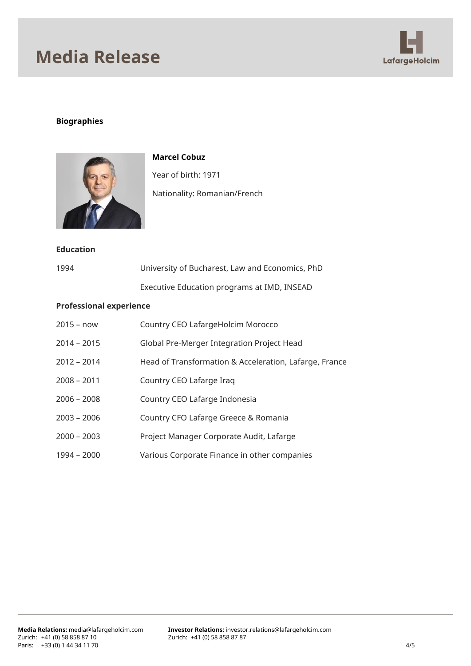

# **Biographies**



**Marcel Cobuz** Year of birth: 1971 Nationality: Romanian/French

### **Education**

| 1994 | University of Bucharest, Law and Economics, PhD |
|------|-------------------------------------------------|
|      | Executive Education programs at IMD, INSEAD     |

#### **Professional experience**

| 2015 – now    | Country CEO LafargeHolcim Morocco                      |
|---------------|--------------------------------------------------------|
| $2014 - 2015$ | Global Pre-Merger Integration Project Head             |
| $2012 - 2014$ | Head of Transformation & Acceleration, Lafarge, France |
| $2008 - 2011$ | Country CEO Lafarge Irag                               |
| $2006 - 2008$ | Country CEO Lafarge Indonesia                          |
| 2003 - 2006   | Country CFO Lafarge Greece & Romania                   |
| $2000 - 2003$ | Project Manager Corporate Audit, Lafarge               |
| 1994 - 2000   | Various Corporate Finance in other companies           |